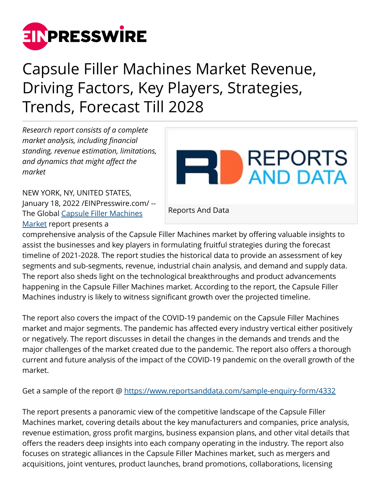

## Capsule Filler Machines Market Revenue, Driving Factors, Key Players, Strategies, Trends, Forecast Till 2028

*Research report consists of a complete market analysis, including financial standing, revenue estimation, limitations, and dynamics that might affect the market*



NEW YORK, NY, UNITED STATES,

[Market](https://www.reportsanddata.com/report-detail/capsule-filler-machines-market) report presents a

January 18, 2022 /[EINPresswire.com](http://www.einpresswire.com)/ -- The Global [Capsule Filler Machines](https://www.reportsanddata.com/report-detail/capsule-filler-machines-market)

Reports And Data

comprehensive analysis of the Capsule Filler Machines market by offering valuable insights to assist the businesses and key players in formulating fruitful strategies during the forecast timeline of 2021-2028. The report studies the historical data to provide an assessment of key segments and sub-segments, revenue, industrial chain analysis, and demand and supply data. The report also sheds light on the technological breakthroughs and product advancements happening in the Capsule Filler Machines market. According to the report, the Capsule Filler Machines industry is likely to witness significant growth over the projected timeline.

The report also covers the impact of the COVID-19 pandemic on the Capsule Filler Machines market and major segments. The pandemic has affected every industry vertical either positively or negatively. The report discusses in detail the changes in the demands and trends and the major challenges of the market created due to the pandemic. The report also offers a thorough current and future analysis of the impact of the COVID-19 pandemic on the overall growth of the market.

Get a sample of the report @<https://www.reportsanddata.com/sample-enquiry-form/4332>

The report presents a panoramic view of the competitive landscape of the Capsule Filler Machines market, covering details about the key manufacturers and companies, price analysis, revenue estimation, gross profit margins, business expansion plans, and other vital details that offers the readers deep insights into each company operating in the industry. The report also focuses on strategic alliances in the Capsule Filler Machines market, such as mergers and acquisitions, joint ventures, product launches, brand promotions, collaborations, licensing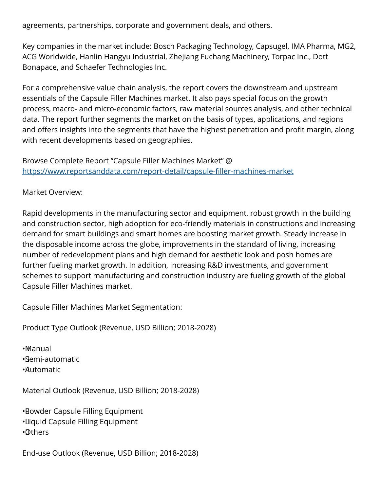agreements, partnerships, corporate and government deals, and others.

Key companies in the market include: Bosch Packaging Technology, Capsugel, IMA Pharma, MG2, ACG Worldwide, Hanlin Hangyu Industrial, Zhejiang Fuchang Machinery, Torpac Inc., Dott Bonapace, and Schaefer Technologies Inc.

For a comprehensive value chain analysis, the report covers the downstream and upstream essentials of the Capsule Filler Machines market. It also pays special focus on the growth process, macro- and micro-economic factors, raw material sources analysis, and other technical data. The report further segments the market on the basis of types, applications, and regions and offers insights into the segments that have the highest penetration and profit margin, along with recent developments based on geographies.

Browse Complete Report "Capsule Filler Machines Market" @ <https://www.reportsanddata.com/report-detail/capsule-filler-machines-market>

Market Overview:

Rapid developments in the manufacturing sector and equipment, robust growth in the building and construction sector, high adoption for eco-friendly materials in constructions and increasing demand for smart buildings and smart homes are boosting market growth. Steady increase in the disposable income across the globe, improvements in the standard of living, increasing number of redevelopment plans and high demand for aesthetic look and posh homes are further fueling market growth. In addition, increasing R&D investments, and government schemes to support manufacturing and construction industry are fueling growth of the global Capsule Filler Machines market.

Capsule Filler Machines Market Segmentation:

Product Type Outlook (Revenue, USD Billion; 2018-2028)

• Manual • Semi-automatic

• Automatic

Material Outlook (Revenue, USD Billion; 2018-2028)

• Powder Capsule Filling Equipment • Liquid Capsule Filling Equipment • Others

End-use Outlook (Revenue, USD Billion; 2018-2028)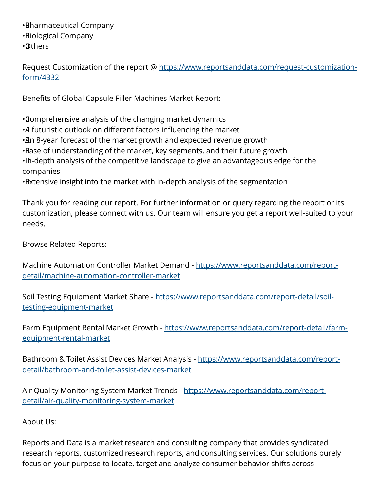• Pharmaceutical Company • Biological Company • Others

Request Customization of the report @ [https://www.reportsanddata.com/request-customization](https://www.reportsanddata.com/request-customization-form/4332)[form/4332](https://www.reportsanddata.com/request-customization-form/4332)

Benefits of Global Capsule Filler Machines Market Report:

• Comprehensive analysis of the changing market dynamics • A futuristic outlook on different factors influencing the market • An 8-year forecast of the market growth and expected revenue growth • Ease of understanding of the market, key segments, and their future growth • In-depth analysis of the competitive landscape to give an advantageous edge for the companies • Extensive insight into the market with in-depth analysis of the segmentation

Thank you for reading our report. For further information or query regarding the report or its customization, please connect with us. Our team will ensure you get a report well-suited to your needs.

Browse Related Reports:

Machine Automation Controller Market Demand - [https://www.reportsanddata.com/report](https://www.reportsanddata.com/report-detail/machine-automation-controller-market)[detail/machine-automation-controller-market](https://www.reportsanddata.com/report-detail/machine-automation-controller-market)

Soil Testing Equipment Market Share - [https://www.reportsanddata.com/report-detail/soil](https://www.reportsanddata.com/report-detail/soil-testing-equipment-market)[testing-equipment-market](https://www.reportsanddata.com/report-detail/soil-testing-equipment-market)

Farm Equipment Rental Market Growth - [https://www.reportsanddata.com/report-detail/farm](https://www.reportsanddata.com/report-detail/farm-equipment-rental-market)[equipment-rental-market](https://www.reportsanddata.com/report-detail/farm-equipment-rental-market)

Bathroom & Toilet Assist Devices Market Analysis - [https://www.reportsanddata.com/report](https://www.reportsanddata.com/report-detail/bathroom-and-toilet-assist-devices-market)[detail/bathroom-and-toilet-assist-devices-market](https://www.reportsanddata.com/report-detail/bathroom-and-toilet-assist-devices-market)

Air Quality Monitoring System Market Trends - [https://www.reportsanddata.com/report](https://www.reportsanddata.com/report-detail/air-quality-monitoring-system-market)[detail/air-quality-monitoring-system-market](https://www.reportsanddata.com/report-detail/air-quality-monitoring-system-market)

About Us:

Reports and Data is a market research and consulting company that provides syndicated research reports, customized research reports, and consulting services. Our solutions purely focus on your purpose to locate, target and analyze consumer behavior shifts across